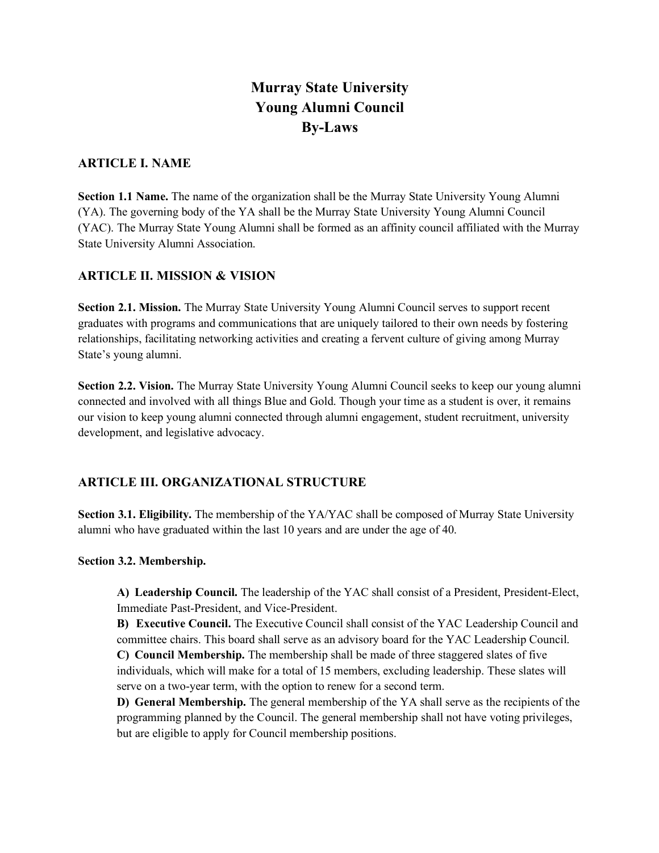# **Murray State University Young Alumni Council By-Laws**

## **ARTICLE I. NAME**

Section 1.1 Name. The name of the organization shall be the Murray State University Young Alumni (YA). The governing body of the YA shall be the Murray State University Young Alumni Council (YAC). The Murray State Young Alumni shall be formed as an affinity council affiliated with the Murray State University Alumni Association.

## **ARTICLE II. MISSION & VISION**

**Section 2.1. Mission.** The Murray State University Young Alumni Council serves to support recent graduates with programs and communications that are uniquely tailored to their own needs by fostering relationships, facilitating networking activities and creating a fervent culture of giving among Murray State's young alumni.

**Section 2.2. Vision.** The Murray State University Young Alumni Council seeks to keep our young alumni connected and involved with all things Blue and Gold. Though your time as a student is over, it remains our vision to keep young alumni connected through alumni engagement, student recruitment, university development, and legislative advocacy.

## **ARTICLE III. ORGANIZATIONAL STRUCTURE**

**Section 3.1. Eligibility.** The membership of the YA/YAC shall be composed of Murray State University alumni who have graduated within the last 10 years and are under the age of 40.

## **Section 3.2. Membership.**

**A) Leadership Council.** The leadership of the YAC shall consist of a President, President-Elect, Immediate Past-President, and Vice-President.

**B) Executive Council.** The Executive Council shall consist of the YAC Leadership Council and committee chairs. This board shall serve as an advisory board for the YAC Leadership Council. **C) Council Membership.** The membership shall be made of three staggered slates of five individuals, which will make for a total of 15 members, excluding leadership. These slates will serve on a two-year term, with the option to renew for a second term.

**D) General Membership.** The general membership of the YA shall serve as the recipients of the programming planned by the Council. The general membership shall not have voting privileges, but are eligible to apply for Council membership positions.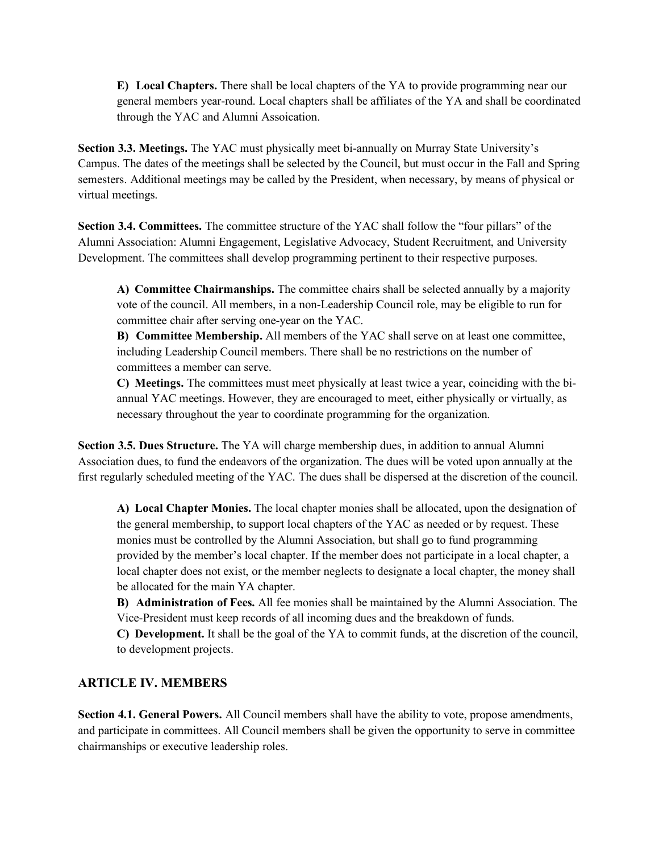**E) Local Chapters.** There shall be local chapters of the YA to provide programming near our general members year-round. Local chapters shall be affiliates of the YA and shall be coordinated through the YAC and Alumni Assoication.

**Section 3.3. Meetings.** The YAC must physically meet bi-annually on Murray State University's Campus. The dates of the meetings shall be selected by the Council, but must occur in the Fall and Spring semesters. Additional meetings may be called by the President, when necessary, by means of physical or virtual meetings.

**Section 3.4. Committees.** The committee structure of the YAC shall follow the "four pillars" of the Alumni Association: Alumni Engagement, Legislative Advocacy, Student Recruitment, and University Development. The committees shall develop programming pertinent to their respective purposes.

**A) Committee Chairmanships.** The committee chairs shall be selected annually by a majority vote of the council. All members, in a non-Leadership Council role, may be eligible to run for committee chair after serving one-year on the YAC.

**B) Committee Membership.** All members of the YAC shall serve on at least one committee, including Leadership Council members. There shall be no restrictions on the number of committees a member can serve.

**C) Meetings.** The committees must meet physically at least twice a year, coinciding with the biannual YAC meetings. However, they are encouraged to meet, either physically or virtually, as necessary throughout the year to coordinate programming for the organization.

**Section 3.5. Dues Structure.** The YA will charge membership dues, in addition to annual Alumni Association dues, to fund the endeavors of the organization. The dues will be voted upon annually at the first regularly scheduled meeting of the YAC. The dues shall be dispersed at the discretion of the council.

**A) Local Chapter Monies.** The local chapter monies shall be allocated, upon the designation of the general membership, to support local chapters of the YAC as needed or by request. These monies must be controlled by the Alumni Association, but shall go to fund programming provided by the member's local chapter. If the member does not participate in a local chapter, a local chapter does not exist, or the member neglects to designate a local chapter, the money shall be allocated for the main YA chapter.

**B) Administration of Fees.** All fee monies shall be maintained by the Alumni Association. The Vice-President must keep records of all incoming dues and the breakdown of funds.

**C) Development.** It shall be the goal of the YA to commit funds, at the discretion of the council, to development projects.

## **ARTICLE IV. MEMBERS**

**Section 4.1. General Powers.** All Council members shall have the ability to vote, propose amendments, and participate in committees. All Council members shall be given the opportunity to serve in committee chairmanships or executive leadership roles.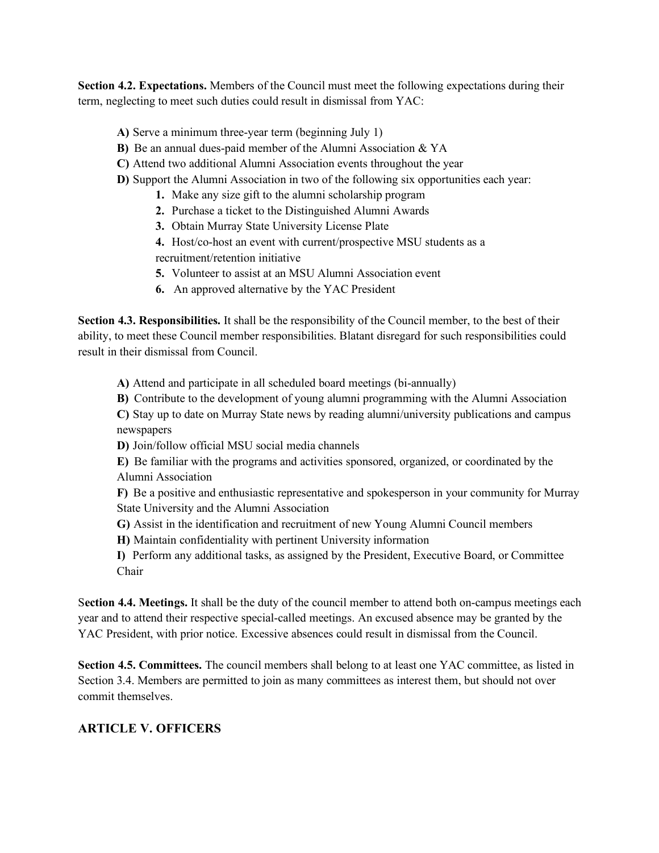**Section 4.2. Expectations.** Members of the Council must meet the following expectations during their term, neglecting to meet such duties could result in dismissal from YAC:

- **A)** Serve a minimum three-year term (beginning July 1)
- **B)** Be an annual dues-paid member of the Alumni Association & YA
- **C)** Attend two additional Alumni Association events throughout the year
- **D)** Support the Alumni Association in two of the following six opportunities each year:
	- **1.** Make any size gift to the alumni scholarship program
	- **2.** Purchase a ticket to the Distinguished Alumni Awards
	- **3.** Obtain Murray State University License Plate
	- **4.** Host/co-host an event with current/prospective MSU students as a recruitment/retention initiative
	- **5.** Volunteer to assist at an MSU Alumni Association event
	- **6.** An approved alternative by the YAC President

**Section 4.3. Responsibilities.** It shall be the responsibility of the Council member, to the best of their ability, to meet these Council member responsibilities. Blatant disregard for such responsibilities could result in their dismissal from Council.

**A)** Attend and participate in all scheduled board meetings (bi-annually)

**B)** Contribute to the development of young alumni programming with the Alumni Association

**C)** Stay up to date on Murray State news by reading alumni/university publications and campus newspapers

**D)** Join/follow official MSU social media channels

**E)** Be familiar with the programs and activities sponsored, organized, or coordinated by the Alumni Association

**F)** Be a positive and enthusiastic representative and spokesperson in your community for Murray State University and the Alumni Association

**G)** Assist in the identification and recruitment of new Young Alumni Council members

**H)** Maintain confidentiality with pertinent University information

**I)** Perform any additional tasks, as assigned by the President, Executive Board, or Committee Chair

S**ection 4.4. Meetings.** It shall be the duty of the council member to attend both on-campus meetings each year and to attend their respective special-called meetings. An excused absence may be granted by the YAC President, with prior notice. Excessive absences could result in dismissal from the Council.

**Section 4.5. Committees.** The council members shall belong to at least one YAC committee, as listed in Section 3.4. Members are permitted to join as many committees as interest them, but should not over commit themselves.

## **ARTICLE V. OFFICERS**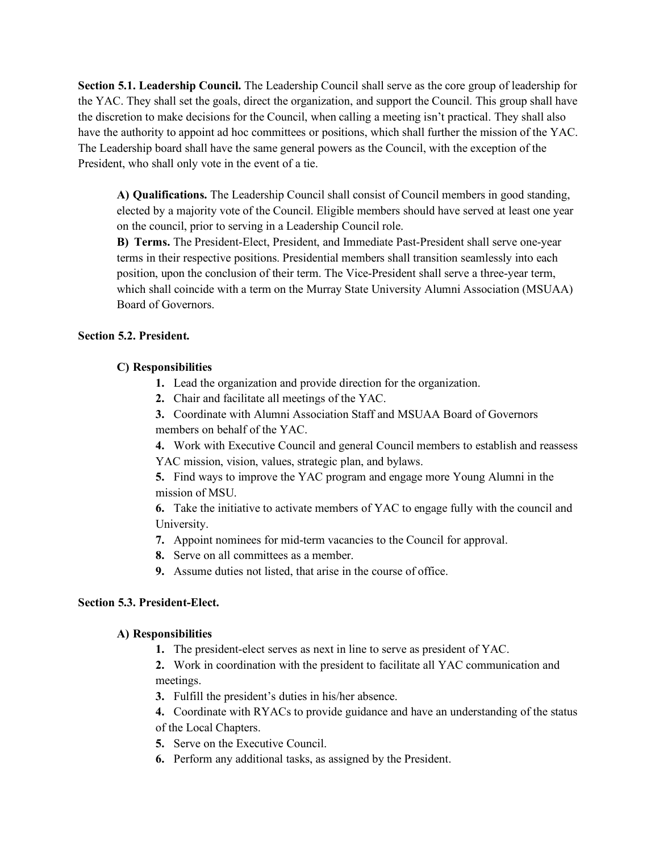**Section 5.1. Leadership Council.** The Leadership Council shall serve as the core group of leadership for the YAC. They shall set the goals, direct the organization, and support the Council. This group shall have the discretion to make decisions for the Council, when calling a meeting isn't practical. They shall also have the authority to appoint ad hoc committees or positions, which shall further the mission of the YAC. The Leadership board shall have the same general powers as the Council, with the exception of the President, who shall only vote in the event of a tie.

**A) Qualifications.** The Leadership Council shall consist of Council members in good standing, elected by a majority vote of the Council. Eligible members should have served at least one year on the council, prior to serving in a Leadership Council role.

**B) Terms.** The President-Elect, President, and Immediate Past-President shall serve one-year terms in their respective positions. Presidential members shall transition seamlessly into each position, upon the conclusion of their term. The Vice-President shall serve a three-year term, which shall coincide with a term on the Murray State University Alumni Association (MSUAA) Board of Governors.

#### **Section 5.2. President.**

#### **C) Responsibilities**

- **1.** Lead the organization and provide direction for the organization.
- **2.** Chair and facilitate all meetings of the YAC.
- **3.** Coordinate with Alumni Association Staff and MSUAA Board of Governors members on behalf of the YAC.

**4.** Work with Executive Council and general Council members to establish and reassess YAC mission, vision, values, strategic plan, and bylaws.

**5.** Find ways to improve the YAC program and engage more Young Alumni in the mission of MSU.

**6.** Take the initiative to activate members of YAC to engage fully with the council and University.

- **7.** Appoint nominees for mid-term vacancies to the Council for approval.
- **8.** Serve on all committees as a member.
- **9.** Assume duties not listed, that arise in the course of office.

## **Section 5.3. President-Elect.**

## **A) Responsibilities**

**1.** The president-elect serves as next in line to serve as president of YAC.

**2.** Work in coordination with the president to facilitate all YAC communication and meetings.

- **3.** Fulfill the president's duties in his/her absence.
- **4.** Coordinate with RYACs to provide guidance and have an understanding of the status of the Local Chapters.
- **5.** Serve on the Executive Council.
- **6.** Perform any additional tasks, as assigned by the President.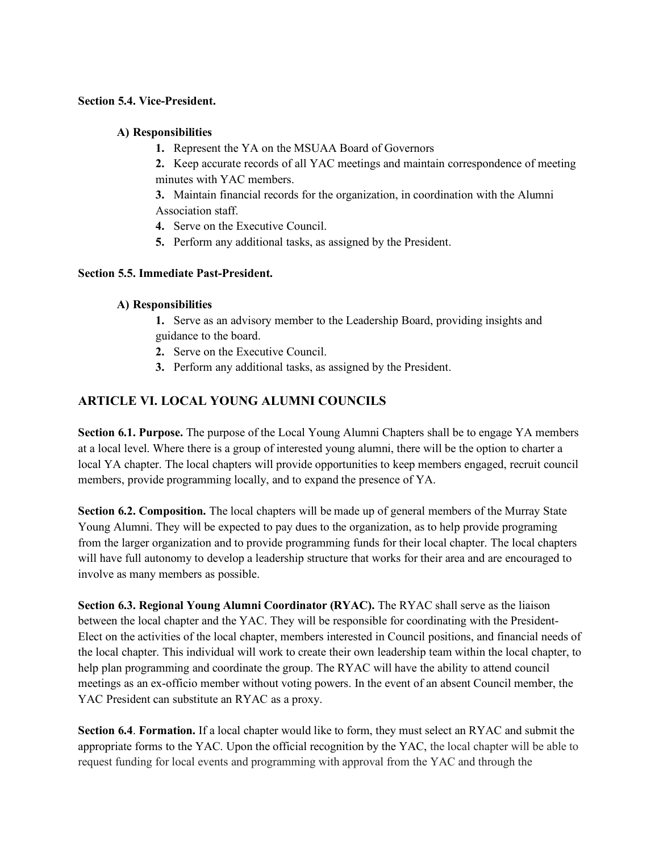#### **Section 5.4. Vice-President.**

#### **A) Responsibilities**

**1.** Represent the YA on the MSUAA Board of Governors

**2.** Keep accurate records of all YAC meetings and maintain correspondence of meeting minutes with YAC members.

**3.** Maintain financial records for the organization, in coordination with the Alumni Association staff.

**4.** Serve on the Executive Council.

**5.** Perform any additional tasks, as assigned by the President.

## **Section 5.5. Immediate Past-President.**

## **A) Responsibilities**

**1.** Serve as an advisory member to the Leadership Board, providing insights and guidance to the board.

- **2.** Serve on the Executive Council.
- **3.** Perform any additional tasks, as assigned by the President.

# **ARTICLE VI. LOCAL YOUNG ALUMNI COUNCILS**

**Section 6.1. Purpose.** The purpose of the Local Young Alumni Chapters shall be to engage YA members at a local level. Where there is a group of interested young alumni, there will be the option to charter a local YA chapter. The local chapters will provide opportunities to keep members engaged, recruit council members, provide programming locally, and to expand the presence of YA.

**Section 6.2. Composition.** The local chapters will be made up of general members of the Murray State Young Alumni. They will be expected to pay dues to the organization, as to help provide programing from the larger organization and to provide programming funds for their local chapter. The local chapters will have full autonomy to develop a leadership structure that works for their area and are encouraged to involve as many members as possible.

**Section 6.3. Regional Young Alumni Coordinator (RYAC).** The RYAC shall serve as the liaison between the local chapter and the YAC. They will be responsible for coordinating with the President-Elect on the activities of the local chapter, members interested in Council positions, and financial needs of the local chapter. This individual will work to create their own leadership team within the local chapter, to help plan programming and coordinate the group. The RYAC will have the ability to attend council meetings as an ex-officio member without voting powers. In the event of an absent Council member, the YAC President can substitute an RYAC as a proxy.

**Section 6.4**. **Formation.** If a local chapter would like to form, they must select an RYAC and submit the appropriate forms to the YAC. Upon the official recognition by the YAC, the local chapter will be able to request funding for local events and programming with approval from the YAC and through the